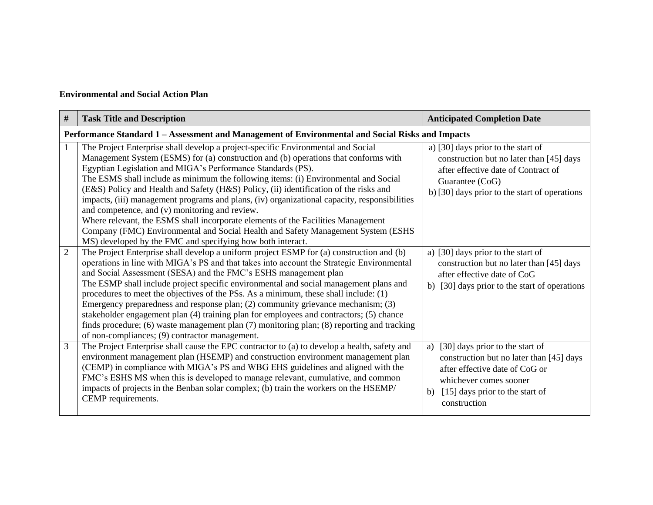## **Environmental and Social Action Plan**

| #              | <b>Task Title and Description</b>                                                                                                                                                                                                                                                                                                                                                                                                                                                                                                                                                                                                                                                                                                                                                                              | <b>Anticipated Completion Date</b>                                                                                                                                                                     |  |  |  |  |
|----------------|----------------------------------------------------------------------------------------------------------------------------------------------------------------------------------------------------------------------------------------------------------------------------------------------------------------------------------------------------------------------------------------------------------------------------------------------------------------------------------------------------------------------------------------------------------------------------------------------------------------------------------------------------------------------------------------------------------------------------------------------------------------------------------------------------------------|--------------------------------------------------------------------------------------------------------------------------------------------------------------------------------------------------------|--|--|--|--|
|                | Performance Standard 1 - Assessment and Management of Environmental and Social Risks and Impacts                                                                                                                                                                                                                                                                                                                                                                                                                                                                                                                                                                                                                                                                                                               |                                                                                                                                                                                                        |  |  |  |  |
| 1              | The Project Enterprise shall develop a project-specific Environmental and Social<br>Management System (ESMS) for (a) construction and (b) operations that conforms with<br>Egyptian Legislation and MIGA's Performance Standards (PS).<br>The ESMS shall include as minimum the following items: (i) Environmental and Social<br>(E&S) Policy and Health and Safety (H&S) Policy, (ii) identification of the risks and<br>impacts, (iii) management programs and plans, (iv) organizational capacity, responsibilities<br>and competence, and (v) monitoring and review.<br>Where relevant, the ESMS shall incorporate elements of the Facilities Management<br>Company (FMC) Environmental and Social Health and Safety Management System (ESHS<br>MS) developed by the FMC and specifying how both interact. | a) [30] days prior to the start of<br>construction but no later than [45] days<br>after effective date of Contract of<br>Guarantee (CoG)<br>b) [30] days prior to the start of operations              |  |  |  |  |
| $\overline{2}$ | The Project Enterprise shall develop a uniform project ESMP for (a) construction and (b)<br>operations in line with MIGA's PS and that takes into account the Strategic Environmental<br>and Social Assessment (SESA) and the FMC's ESHS management plan<br>The ESMP shall include project specific environmental and social management plans and<br>procedures to meet the objectives of the PSs. As a minimum, these shall include: (1)<br>Emergency preparedness and response plan; (2) community grievance mechanism; (3)<br>stakeholder engagement plan (4) training plan for employees and contractors; (5) chance<br>finds procedure; (6) waste management plan (7) monitoring plan; (8) reporting and tracking<br>of non-compliances; (9) contractor management.                                       | a) [30] days prior to the start of<br>construction but no later than [45] days<br>after effective date of CoG<br>[30] days prior to the start of operations<br>b)                                      |  |  |  |  |
| $\overline{3}$ | The Project Enterprise shall cause the EPC contractor to (a) to develop a health, safety and<br>environment management plan (HSEMP) and construction environment management plan<br>(CEMP) in compliance with MIGA's PS and WBG EHS guidelines and aligned with the<br>FMC's ESHS MS when this is developed to manage relevant, cumulative, and common<br>impacts of projects in the Benban solar complex; (b) train the workers on the HSEMP/<br>CEMP requirements.                                                                                                                                                                                                                                                                                                                                           | [30] days prior to the start of<br>a)<br>construction but no later than [45] days<br>after effective date of CoG or<br>whichever comes sooner<br>[15] days prior to the start of<br>b)<br>construction |  |  |  |  |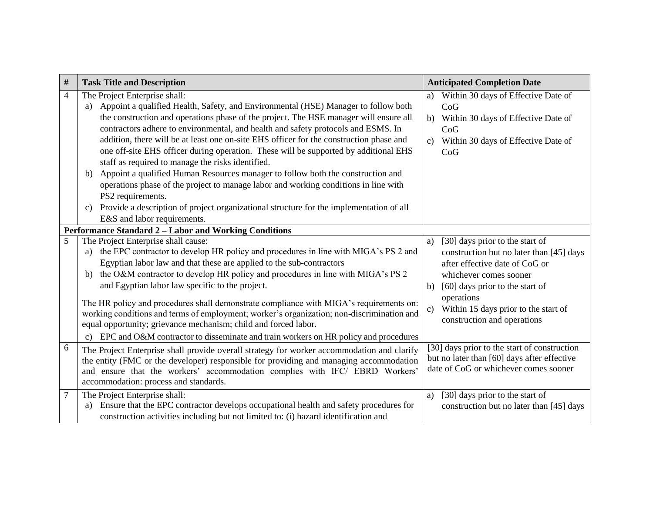| $\#$           | <b>Task Title and Description</b>                                                                                                                            | <b>Anticipated Completion Date</b>                                                          |
|----------------|--------------------------------------------------------------------------------------------------------------------------------------------------------------|---------------------------------------------------------------------------------------------|
| 4              | The Project Enterprise shall:                                                                                                                                | Within 30 days of Effective Date of<br>a)                                                   |
|                | a) Appoint a qualified Health, Safety, and Environmental (HSE) Manager to follow both                                                                        | CoG                                                                                         |
|                | the construction and operations phase of the project. The HSE manager will ensure all                                                                        | Within 30 days of Effective Date of<br>b)                                                   |
|                | contractors adhere to environmental, and health and safety protocols and ESMS. In                                                                            | CoG                                                                                         |
|                | addition, there will be at least one on-site EHS officer for the construction phase and                                                                      | Within 30 days of Effective Date of<br>$\mathcal{C}$ )                                      |
|                | one off-site EHS officer during operation. These will be supported by additional EHS                                                                         | CoG                                                                                         |
|                | staff as required to manage the risks identified.                                                                                                            |                                                                                             |
|                | Appoint a qualified Human Resources manager to follow both the construction and<br>b)                                                                        |                                                                                             |
|                | operations phase of the project to manage labor and working conditions in line with                                                                          |                                                                                             |
|                | PS2 requirements.                                                                                                                                            |                                                                                             |
|                | Provide a description of project organizational structure for the implementation of all<br>c)                                                                |                                                                                             |
|                | E&S and labor requirements.                                                                                                                                  |                                                                                             |
|                | Performance Standard 2 - Labor and Working Conditions                                                                                                        |                                                                                             |
| 5              | The Project Enterprise shall cause:                                                                                                                          | [30] days prior to the start of<br>a)                                                       |
|                | the EPC contractor to develop HR policy and procedures in line with MIGA's PS 2 and<br>a)                                                                    | construction but no later than [45] days                                                    |
|                | Egyptian labor law and that these are applied to the sub-contractors                                                                                         | after effective date of CoG or                                                              |
|                | the O&M contractor to develop HR policy and procedures in line with MIGA's PS 2<br>b)                                                                        | whichever comes sooner                                                                      |
|                | and Egyptian labor law specific to the project.                                                                                                              | [60] days prior to the start of<br>b)                                                       |
|                |                                                                                                                                                              | operations                                                                                  |
|                | The HR policy and procedures shall demonstrate compliance with MIGA's requirements on:                                                                       | Within 15 days prior to the start of<br>$\mathbf{c})$                                       |
|                | working conditions and terms of employment; worker's organization; non-discrimination and<br>equal opportunity; grievance mechanism; child and forced labor. | construction and operations                                                                 |
|                |                                                                                                                                                              |                                                                                             |
|                | EPC and O&M contractor to disseminate and train workers on HR policy and procedures<br>$\mathbf{c}$                                                          |                                                                                             |
| 6              | The Project Enterprise shall provide overall strategy for worker accommodation and clarify                                                                   | [30] days prior to the start of construction<br>but no later than [60] days after effective |
|                | the entity (FMC or the developer) responsible for providing and managing accommodation                                                                       | date of CoG or whichever comes sooner                                                       |
|                | and ensure that the workers' accommodation complies with IFC/ EBRD Workers'                                                                                  |                                                                                             |
|                | accommodation: process and standards.                                                                                                                        |                                                                                             |
| $\overline{7}$ | The Project Enterprise shall:                                                                                                                                | [30] days prior to the start of<br>a)                                                       |
|                | Ensure that the EPC contractor develops occupational health and safety procedures for<br>a)                                                                  | construction but no later than [45] days                                                    |
|                | construction activities including but not limited to: (i) hazard identification and                                                                          |                                                                                             |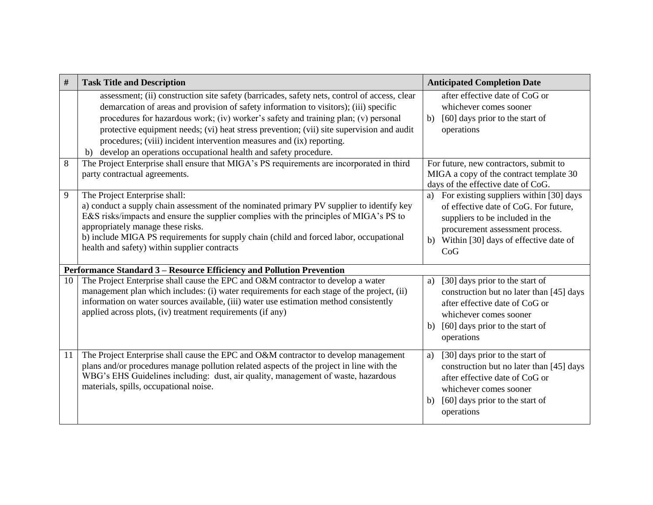| #                                                                     | <b>Task Title and Description</b>                                                                                                                                                                                                                                                                                                                                                                                                                                                                                        | <b>Anticipated Completion Date</b>                                                                                                                                                                             |  |  |
|-----------------------------------------------------------------------|--------------------------------------------------------------------------------------------------------------------------------------------------------------------------------------------------------------------------------------------------------------------------------------------------------------------------------------------------------------------------------------------------------------------------------------------------------------------------------------------------------------------------|----------------------------------------------------------------------------------------------------------------------------------------------------------------------------------------------------------------|--|--|
|                                                                       | assessment; (ii) construction site safety (barricades, safety nets, control of access, clear<br>demarcation of areas and provision of safety information to visitors); (iii) specific<br>procedures for hazardous work; (iv) worker's safety and training plan; (v) personal<br>protective equipment needs; (vi) heat stress prevention; (vii) site supervision and audit<br>procedures; (viii) incident intervention measures and (ix) reporting.<br>b) develop an operations occupational health and safety procedure. | after effective date of CoG or<br>whichever comes sooner<br>[60] days prior to the start of<br>b)<br>operations                                                                                                |  |  |
| 8                                                                     | The Project Enterprise shall ensure that MIGA's PS requirements are incorporated in third<br>party contractual agreements.                                                                                                                                                                                                                                                                                                                                                                                               | For future, new contractors, submit to<br>MIGA a copy of the contract template 30<br>days of the effective date of CoG.                                                                                        |  |  |
| 9                                                                     | The Project Enterprise shall:<br>a) conduct a supply chain assessment of the nominated primary PV supplier to identify key<br>E&S risks/impacts and ensure the supplier complies with the principles of MIGA's PS to<br>appropriately manage these risks.<br>b) include MIGA PS requirements for supply chain (child and forced labor, occupational<br>health and safety) within supplier contracts                                                                                                                      | a) For existing suppliers within [30] days<br>of effective date of CoG. For future,<br>suppliers to be included in the<br>procurement assessment process.<br>b) Within [30] days of effective date of<br>CoG   |  |  |
| Performance Standard 3 - Resource Efficiency and Pollution Prevention |                                                                                                                                                                                                                                                                                                                                                                                                                                                                                                                          |                                                                                                                                                                                                                |  |  |
| 10                                                                    | The Project Enterprise shall cause the EPC and O&M contractor to develop a water<br>management plan which includes: (i) water requirements for each stage of the project, (ii)<br>information on water sources available, (iii) water use estimation method consistently<br>applied across plots, (iv) treatment requirements (if any)                                                                                                                                                                                   | [30] days prior to the start of<br>a)<br>construction but no later than [45] days<br>after effective date of CoG or<br>whichever comes sooner<br>[60] days prior to the start of<br>b)<br>operations           |  |  |
| 11                                                                    | The Project Enterprise shall cause the EPC and O&M contractor to develop management<br>plans and/or procedures manage pollution related aspects of the project in line with the<br>WBG's EHS Guidelines including: dust, air quality, management of waste, hazardous<br>materials, spills, occupational noise.                                                                                                                                                                                                           | [30] days prior to the start of<br>a)<br>construction but no later than [45] days<br>after effective date of CoG or<br>whichever comes sooner<br>[60] days prior to the start of<br>$\mathbf{b}$<br>operations |  |  |